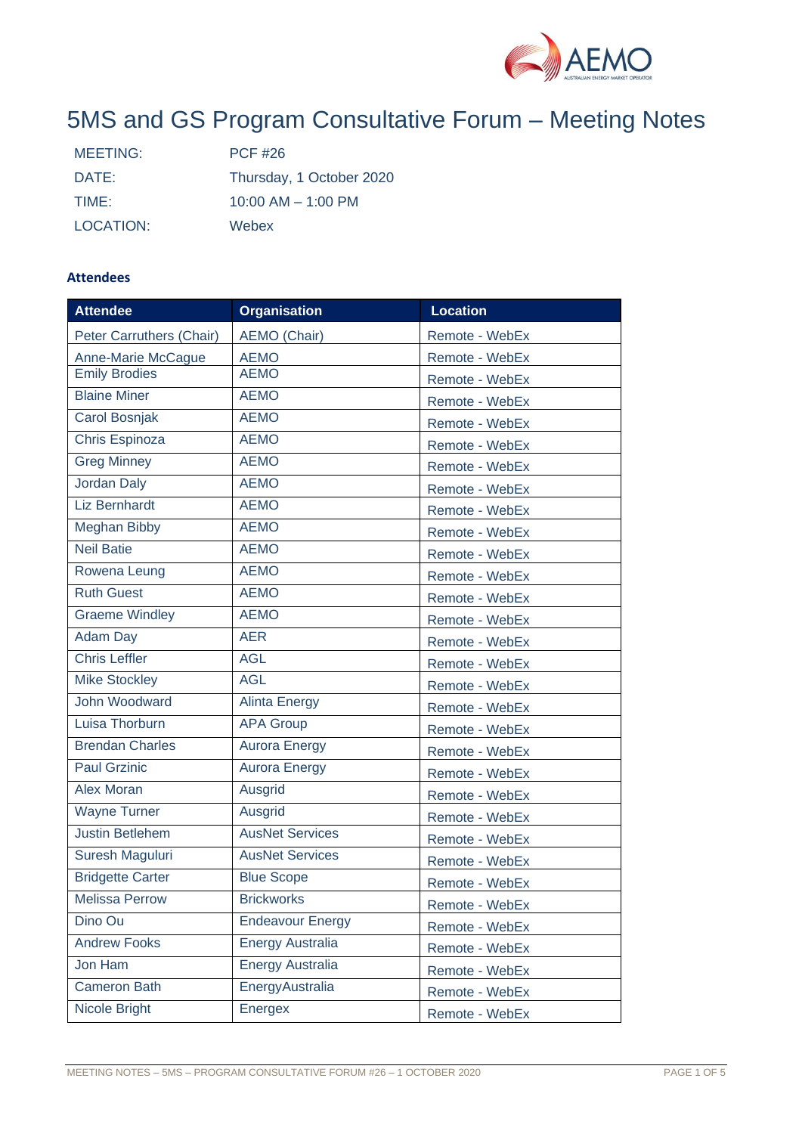

# 5MS and GS Program Consultative Forum – Meeting Notes

| MEETING:  | <b>PCF #26</b>           |
|-----------|--------------------------|
| DATE:     | Thursday, 1 October 2020 |
| TIME:     | $10:00$ AM $- 1:00$ PM   |
| LOCATION: | Webex                    |

# **Attendees**

| <b>Attendee</b>          | <b>Organisation</b>     | <b>Location</b> |  |
|--------------------------|-------------------------|-----------------|--|
| Peter Carruthers (Chair) | <b>AEMO</b> (Chair)     | Remote - WebEx  |  |
| Anne-Marie McCague       | <b>AEMO</b>             | Remote - WebEx  |  |
| <b>Emily Brodies</b>     | <b>AEMO</b>             | Remote - WebEx  |  |
| <b>Blaine Miner</b>      | <b>AEMO</b>             | Remote - WebEx  |  |
| Carol Bosnjak            | <b>AEMO</b>             | Remote - WebEx  |  |
| Chris Espinoza           | <b>AEMO</b>             | Remote - WebEx  |  |
| <b>Greg Minney</b>       | <b>AEMO</b>             | Remote - WebEx  |  |
| <b>Jordan Daly</b>       | <b>AEMO</b>             | Remote - WebEx  |  |
| <b>Liz Bernhardt</b>     | <b>AEMO</b>             | Remote - WebEx  |  |
| <b>Meghan Bibby</b>      | <b>AEMO</b>             | Remote - WebEx  |  |
| <b>Neil Batie</b>        | <b>AEMO</b>             | Remote - WebEx  |  |
| Rowena Leung             | <b>AEMO</b>             | Remote - WebEx  |  |
| <b>Ruth Guest</b>        | <b>AEMO</b>             | Remote - WebEx  |  |
| <b>Graeme Windley</b>    | <b>AEMO</b>             | Remote - WebEx  |  |
| <b>Adam Day</b>          | <b>AER</b>              | Remote - WebEx  |  |
| <b>Chris Leffler</b>     | <b>AGL</b>              | Remote - WebEx  |  |
| <b>Mike Stockley</b>     | <b>AGL</b>              | Remote - WebEx  |  |
| John Woodward            | <b>Alinta Energy</b>    | Remote - WebEx  |  |
| Luisa Thorburn           | <b>APA Group</b>        | Remote - WebEx  |  |
| <b>Brendan Charles</b>   | <b>Aurora Energy</b>    | Remote - WebEx  |  |
| <b>Paul Grzinic</b>      | <b>Aurora Energy</b>    | Remote - WebEx  |  |
| <b>Alex Moran</b>        | Ausgrid                 | Remote - WebEx  |  |
| <b>Wayne Turner</b>      | Ausgrid                 | Remote - WebEx  |  |
| <b>Justin Betlehem</b>   | <b>AusNet Services</b>  | Remote - WebEx  |  |
| Suresh Maguluri          | <b>AusNet Services</b>  | Remote - WebEx  |  |
| <b>Bridgette Carter</b>  | <b>Blue Scope</b>       | Remote - WebEx  |  |
| Melissa Perrow           | <b>Brickworks</b>       | Remote - WebEx  |  |
| Dino Ou                  | <b>Endeavour Energy</b> | Remote - WebEx  |  |
| <b>Andrew Fooks</b>      | <b>Energy Australia</b> | Remote - WebEx  |  |
| Jon Ham                  | <b>Energy Australia</b> | Remote - WebEx  |  |
| <b>Cameron Bath</b>      | EnergyAustralia         | Remote - WebEx  |  |
| Nicole Bright            | Energex                 | Remote - WebEx  |  |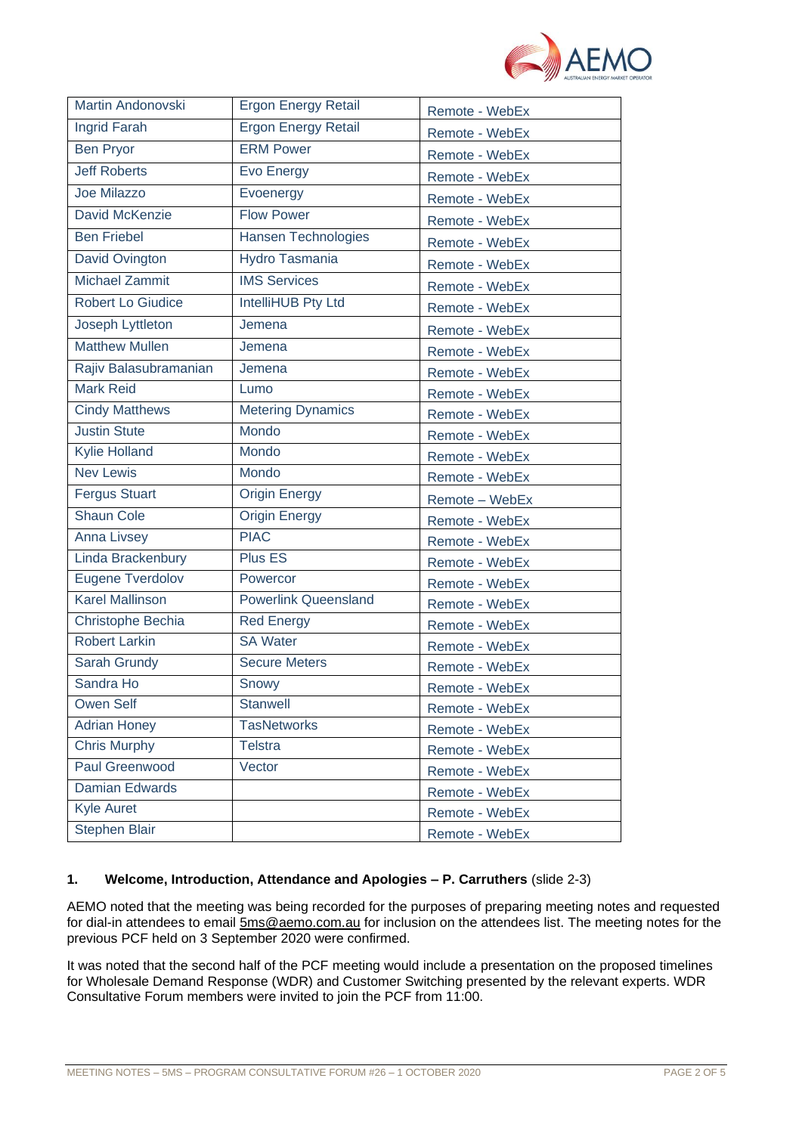

| Martin Andonovski        | <b>Ergon Energy Retail</b>  | Remote - WebEx |
|--------------------------|-----------------------------|----------------|
| Ingrid Farah             | <b>Ergon Energy Retail</b>  | Remote - WebEx |
| <b>Ben Pryor</b>         | <b>ERM Power</b>            | Remote - WebEx |
| <b>Jeff Roberts</b>      | Evo Energy                  | Remote - WebEx |
| Joe Milazzo              | Evoenergy                   | Remote - WebEx |
| David McKenzie           | <b>Flow Power</b>           | Remote - WebEx |
| <b>Ben Friebel</b>       | <b>Hansen Technologies</b>  | Remote - WebEx |
| David Ovington           | Hydro Tasmania              | Remote - WebEx |
| <b>Michael Zammit</b>    | <b>IMS</b> Services         | Remote - WebEx |
| <b>Robert Lo Giudice</b> | IntelliHUB Pty Ltd          | Remote - WebEx |
| Joseph Lyttleton         | Jemena                      | Remote - WebEx |
| <b>Matthew Mullen</b>    | Jemena                      | Remote - WebEx |
| Rajiv Balasubramanian    | Jemena                      | Remote - WebEx |
| <b>Mark Reid</b>         | Lumo                        | Remote - WebEx |
| <b>Cindy Matthews</b>    | <b>Metering Dynamics</b>    | Remote - WebEx |
| <b>Justin Stute</b>      | Mondo                       | Remote - WebEx |
| <b>Kylie Holland</b>     | Mondo                       | Remote - WebEx |
| <b>Nev Lewis</b>         | Mondo                       | Remote - WebEx |
| <b>Fergus Stuart</b>     | <b>Origin Energy</b>        | Remote - WebEx |
| <b>Shaun Cole</b>        | <b>Origin Energy</b>        | Remote - WebEx |
| <b>Anna Livsey</b>       | <b>PIAC</b>                 | Remote - WebEx |
| Linda Brackenbury        | Plus ES                     | Remote - WebEx |
| Eugene Tverdolov         | Powercor                    | Remote - WebEx |
| <b>Karel Mallinson</b>   | <b>Powerlink Queensland</b> | Remote - WebEx |
| Christophe Bechia        | <b>Red Energy</b>           | Remote - WebEx |
| <b>Robert Larkin</b>     | <b>SA Water</b>             | Remote - WebEx |
| Sarah Grundy             | <b>Secure Meters</b>        | Remote - WebEx |
| Sandra Ho                | Snowy                       | Remote - WebEx |
| <b>Owen Self</b>         | <b>Stanwell</b>             | Remote - WebEx |
| <b>Adrian Honey</b>      | <b>TasNetworks</b>          | Remote - WebEx |
| <b>Chris Murphy</b>      | <b>Telstra</b>              | Remote - WebEx |
| Paul Greenwood           | Vector                      | Remote - WebEx |
| <b>Damian Edwards</b>    |                             | Remote - WebEx |
| <b>Kyle Auret</b>        |                             | Remote - WebEx |
| <b>Stephen Blair</b>     |                             | Remote - WebEx |

## **1. Welcome, Introduction, Attendance and Apologies – P. Carruthers** (slide 2-3)

AEMO noted that the meeting was being recorded for the purposes of preparing meeting notes and requested for dial-in attendees to email [5ms@aemo.com.au](mailto:5ms@aemo.com.au) for inclusion on the attendees list. The meeting notes for the previous PCF held on 3 September 2020 were confirmed.

It was noted that the second half of the PCF meeting would include a presentation on the proposed timelines for Wholesale Demand Response (WDR) and Customer Switching presented by the relevant experts. WDR Consultative Forum members were invited to join the PCF from 11:00.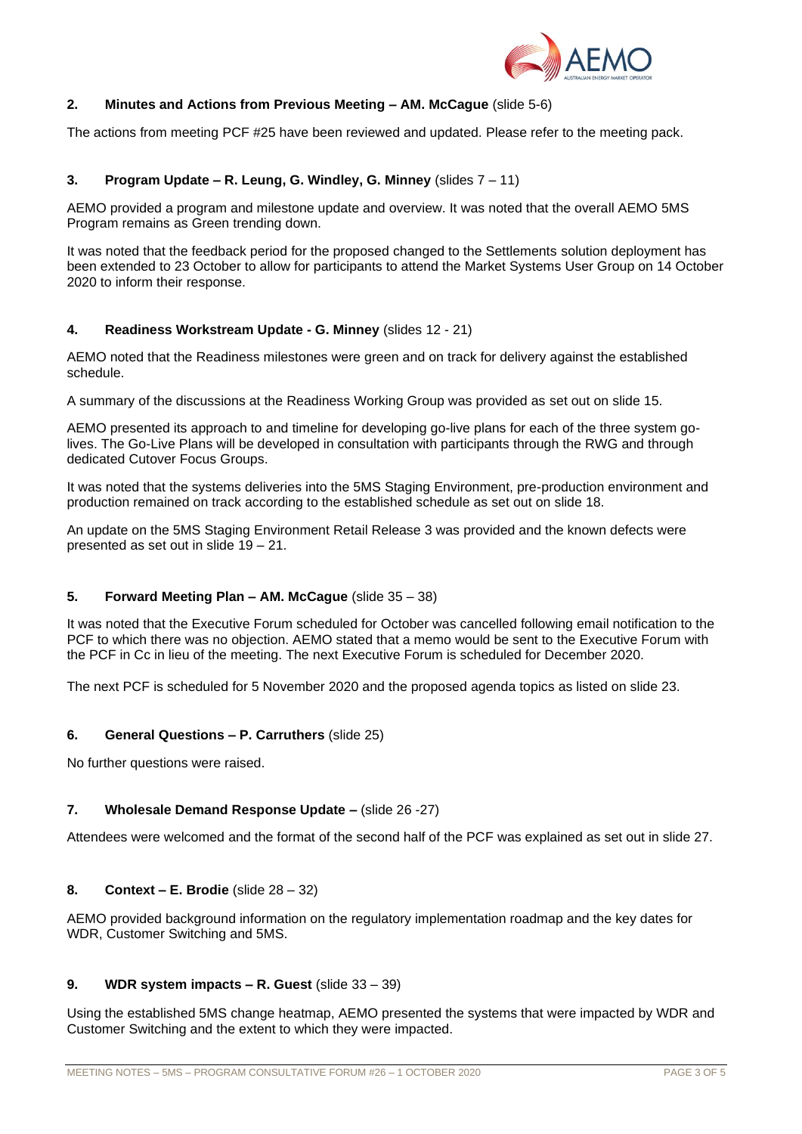

## **2. Minutes and Actions from Previous Meeting – AM. McCague** (slide 5-6)

The actions from meeting PCF #25 have been reviewed and updated. Please refer to the meeting pack.

## **3. Program Update – R. Leung, G. Windley, G. Minney** (slides 7 – 11)

AEMO provided a program and milestone update and overview. It was noted that the overall AEMO 5MS Program remains as Green trending down.

It was noted that the feedback period for the proposed changed to the Settlements solution deployment has been extended to 23 October to allow for participants to attend the Market Systems User Group on 14 October 2020 to inform their response.

## **4. Readiness Workstream Update - G. Minney** (slides 12 - 21)

AEMO noted that the Readiness milestones were green and on track for delivery against the established schedule.

A summary of the discussions at the Readiness Working Group was provided as set out on slide 15.

AEMO presented its approach to and timeline for developing go-live plans for each of the three system golives. The Go-Live Plans will be developed in consultation with participants through the RWG and through dedicated Cutover Focus Groups.

It was noted that the systems deliveries into the 5MS Staging Environment, pre-production environment and production remained on track according to the established schedule as set out on slide 18.

An update on the 5MS Staging Environment Retail Release 3 was provided and the known defects were presented as set out in slide 19 – 21.

# **5. Forward Meeting Plan – AM. McCague** (slide 35 – 38)

It was noted that the Executive Forum scheduled for October was cancelled following email notification to the PCF to which there was no objection. AEMO stated that a memo would be sent to the Executive Forum with the PCF in Cc in lieu of the meeting. The next Executive Forum is scheduled for December 2020.

The next PCF is scheduled for 5 November 2020 and the proposed agenda topics as listed on slide 23.

#### **6. General Questions – P. Carruthers** (slide 25)

No further questions were raised.

## **7. Wholesale Demand Response Update –** (slide 26 -27)

Attendees were welcomed and the format of the second half of the PCF was explained as set out in slide 27.

#### **8. Context – E. Brodie** (slide 28 – 32)

AEMO provided background information on the regulatory implementation roadmap and the key dates for WDR, Customer Switching and 5MS.

## **9. WDR system impacts – R. Guest** (slide 33 – 39)

Using the established 5MS change heatmap, AEMO presented the systems that were impacted by WDR and Customer Switching and the extent to which they were impacted.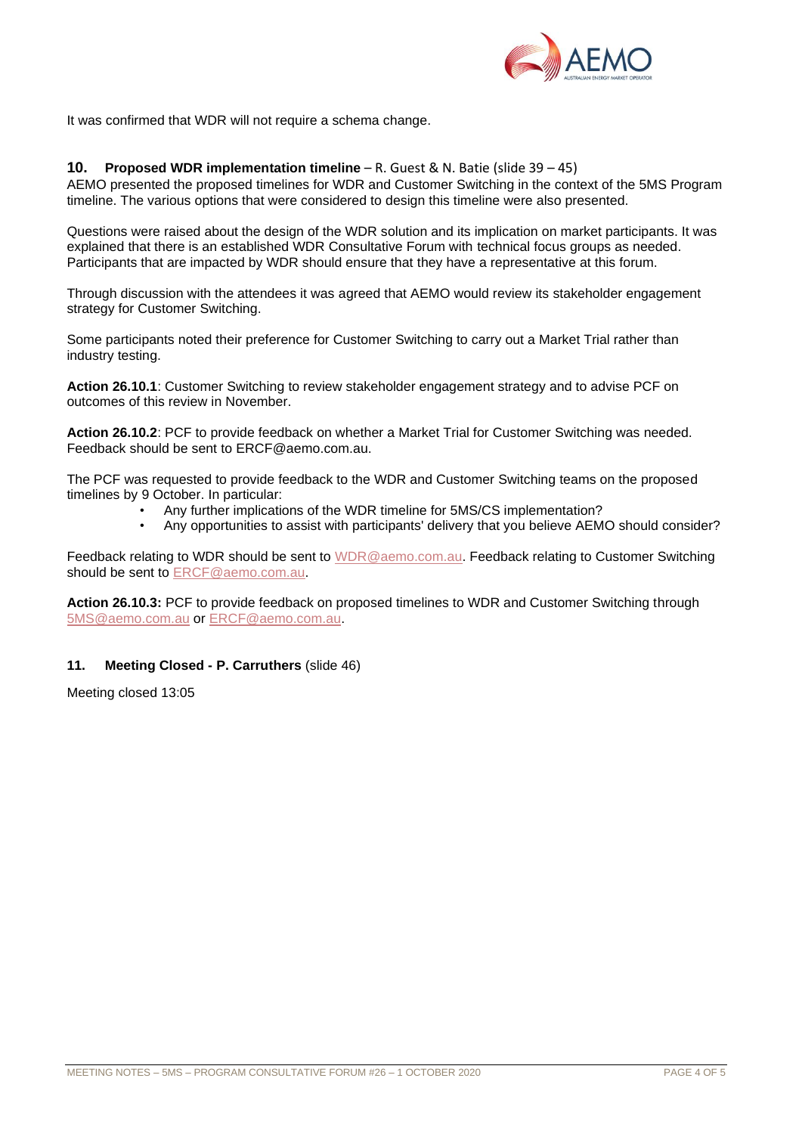

It was confirmed that WDR will not require a schema change.

#### **10. Proposed WDR implementation timeline** – R. Guest & N. Batie (slide 39 – 45)

AEMO presented the proposed timelines for WDR and Customer Switching in the context of the 5MS Program timeline. The various options that were considered to design this timeline were also presented.

Questions were raised about the design of the WDR solution and its implication on market participants. It was explained that there is an established WDR Consultative Forum with technical focus groups as needed. Participants that are impacted by WDR should ensure that they have a representative at this forum.

Through discussion with the attendees it was agreed that AEMO would review its stakeholder engagement strategy for Customer Switching.

Some participants noted their preference for Customer Switching to carry out a Market Trial rather than industry testing.

**Action 26.10.1**: Customer Switching to review stakeholder engagement strategy and to advise PCF on outcomes of this review in November.

**Action 26.10.2**: PCF to provide feedback on whether a Market Trial for Customer Switching was needed. Feedback should be sent to ERCF@aemo.com.au.

The PCF was requested to provide feedback to the WDR and Customer Switching teams on the proposed timelines by 9 October. In particular:

- Any further implications of the WDR timeline for 5MS/CS implementation?
- Any opportunities to assist with participants' delivery that you believe AEMO should consider?

Feedback relating to WDR should be sent to [WDR@aemo.com.au.](mailto:WDR@aemo.com.au) Feedback relating to Customer Switching should be sent to **ERCF@aemo.com.au.** 

**Action 26.10.3:** PCF to provide feedback on proposed timelines to WDR and Customer Switching through [5MS@aemo.com.au](mailto:5MS@aemo.com.au) or [ERCF@aemo.com.au.](mailto:ERCF@aemo.com.au)

## **11. Meeting Closed - P. Carruthers** (slide 46)

Meeting closed 13:05